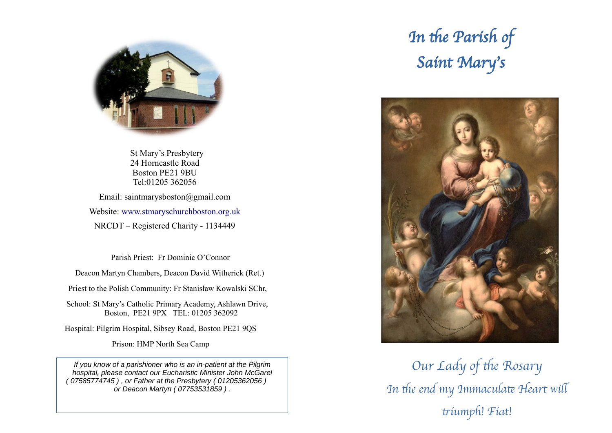

 St Mary's Presbytery 24 Horncastle Road Boston PE21 9BU Tel:01205 362056

Email: saintmarysboston@gmail.com Website: [www.stmaryschurchboston.org.uk](http://www.stmaryschurchboston.org.uk/) NRCDT – Registered Charity - 1134449

Parish Priest: Fr Dominic O'Connor

Deacon Martyn Chambers, Deacon David Witherick (Ret.)

Priest to the Polish Community: Fr Stanisław Kowalski SChr,

School: St Mary's Catholic Primary Academy, Ashlawn Drive, Boston, PE21 9PX TEL: 01205 362092

Hospital: Pilgrim Hospital, Sibsey Road, Boston PE21 9QS

Prison: HMP North Sea Camp

*If you know of a parishioner who is an in-patient at the Pilgrim hospital, please contact our Eucharistic Minister John McGarel ( 07585774745 ) , or Father at the Presbytery ( 01205362056 ) or Deacon Martyn ( 07753531859 ) .*

# In the Parish of Saint Mary's



Our Lady of the Rosary In the end my Immaculate Heart will triumph! Fiat!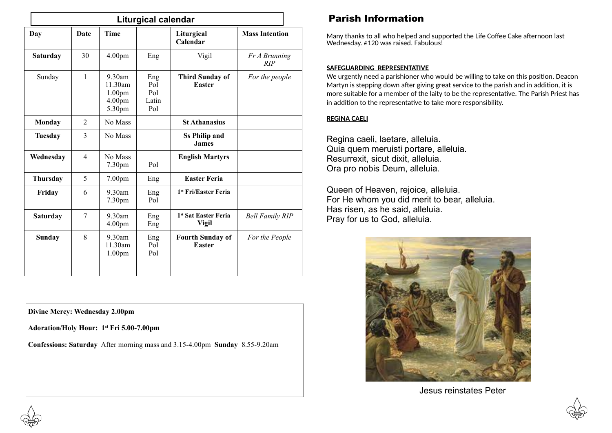| <b>Liturgical calendar</b> |                |                                                                            |                                   |                                                  |                        |
|----------------------------|----------------|----------------------------------------------------------------------------|-----------------------------------|--------------------------------------------------|------------------------|
| Day                        | <b>Date</b>    | <b>Time</b>                                                                |                                   | Liturgical<br>Calendar                           | <b>Mass Intention</b>  |
| <b>Saturday</b>            | 30             | 4.00 <sub>pm</sub>                                                         | Eng                               | Vigil                                            | Fr A Brunning<br>RIP   |
| Sunday                     | 1              | $9.30$ am<br>11.30am<br>1.00 <sub>pm</sub><br>4.00 <sub>pm</sub><br>5.30pm | Eng<br>Pol<br>Pol<br>Latin<br>Pol | <b>Third Sunday of</b><br><b>Easter</b>          | For the people         |
| Monday                     | $\overline{2}$ | No Mass                                                                    |                                   | <b>St Athanasius</b>                             |                        |
| <b>Tuesday</b>             | 3              | No Mass                                                                    |                                   | <b>Ss Philip and</b><br><b>James</b>             |                        |
| Wednesday                  | $\overline{4}$ | No Mass<br>7.30pm                                                          | Pol                               | <b>English Martyrs</b>                           |                        |
| <b>Thursday</b>            | 5              | 7.00 <sub>pm</sub>                                                         | Eng                               | <b>Easter Feria</b>                              |                        |
| Friday                     | 6              | 9.30am<br>7.30pm                                                           | Eng<br>Pol                        | 1 <sup>st</sup> Fri/Easter Feria                 |                        |
| <b>Saturday</b>            | 7              | $9.30$ am<br>4.00 <sub>pm</sub>                                            | Eng<br>Eng                        | 1 <sup>st</sup> Sat Easter Feria<br><b>Vigil</b> | <b>Bell Family RIP</b> |
| Sunday                     | 8              | $9.30$ am<br>11.30am<br>1.00 <sub>pm</sub>                                 | Eng<br>Pol<br>Pol                 | <b>Fourth Sunday of</b><br><b>Easter</b>         | For the People         |

**Divine Mercy: Wednesday 2.00pm**

**Adoration/Holy Hour: 1 st Fri 5.00-7.00pm**

**Confessions: Saturday** After morning mass and 3.15-4.00pm **Sunday** 8.55-9.20am

# Parish Information

Many thanks to all who helped and supported the Life Coffee Cake afternoon last Wednesday. £120 was raised. Fabulous!

### **SAFEGUARDING REPRESENTATIVE**

We urgently need a parishioner who would be willing to take on this position. Deacon Martyn is stepping down after giving great service to the parish and in addition, it is more suitable for a member of the laity to be the representative. The Parish Priest has in addition to the representative to take more responsibility.

### **REGINA CAELI**

Regina caeli, laetare, alleluia. Quia quem meruisti portare, alleluia. Resurrexit, sicut dixit, alleluia. Ora pro nobis Deum, alleluia.

Queen of Heaven, rejoice, alleluia. For He whom you did merit to bear, alleluia. Has risen, as he said, alleluia. Pray for us to God, alleluia.



Jesus reinstates Peter



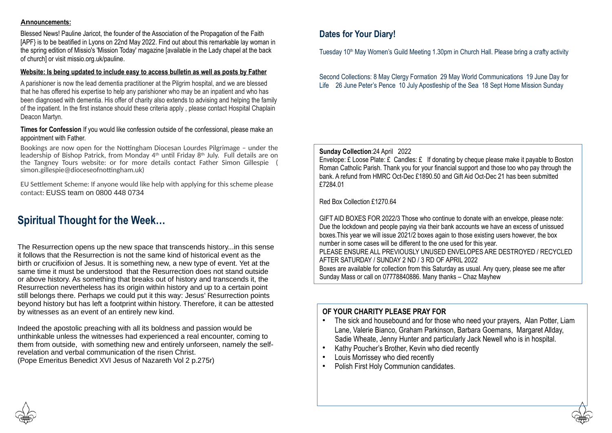#### **Announcements:**

Blessed News! Pauline Jaricot, the founder of the Association of the Propagation of the Faith [APF} is to be beatified in Lyons on 22nd May 2022. Find out about this remarkable lay woman in the spring edition of Missio's 'Mission Today' magazine [available in the Lady chapel at the back of church] or visit [missio.org.uk/pauline](http://missio.org.uk/pauline).

### **Website: Is being updated to include easy to access bulletin as well as posts by Father**

A parishioner is now the lead dementia practitioner at the Pilgrim hospital, and we are blessed that he has offered his expertise to help any parishioner who may be an inpatient and who has been diagnosed with dementia. His offer of charity also extends to advising and helping the family of the inpatient. In the first instance should these criteria apply , please contact Hospital Chaplain Deacon Martyn.

### **Times for Confession** If you would like confession outside of the confessional, please make an appointment with Father.

Bookings are now open for the Nottingham Diocesan Lourdes Pilgrimage – under the leadership of Bishop Patrick, from Monday 4th until Friday 8th July. Full details are on the Tangney Tours website: or for more details contact Father Simon Gillespie ( [simon.gillespie@dioceseofnottingham.uk\)](mailto:simon.gillespie@dioceseofnottingham.uk)

EU Settlement Scheme: If anyone would like help with applying for this scheme please contact: EUSS team on 0800 448 0734

# **Spiritual Thought for the Week…**

The Resurrection opens up the new space that transcends history...in this sense it follows that the Resurrection is not the same kind of historical event as the birth or crucifixion of Jesus. It is something new, a new type of event. Yet at the same time it must be understood that the Resurrection does not stand outside or above history. As something that breaks out of history and transcends it, the Resurrection nevertheless has its origin within history and up to a certain point still belongs there. Perhaps we could put it this way: Jesus' Resurrection points beyond history but has left a footprint within history. Therefore, it can be attested by witnesses as an event of an entirely new kind.

Indeed the apostolic preaching with all its boldness and passion would be unthinkable unless the witnesses had experienced a real encounter, coming to them from outside, with something new and entirely unforseen, namely the selfrevelation and verbal communication of the risen Christ. (Pope Emeritus Benedict XVI Jesus of Nazareth Vol 2 p.275r)

### **Dates for Your Diary!**

Tuesday 10<sup>th</sup> May Women's Guild Meeting 1.30pm in Church Hall. Please bring a crafty activity

Second Collections: 8 May Clergy Formation 29 May World Communications 19 June Day for Life 26 June Peter's Pence 10 July Apostleship of the Sea 18 Sept Home Mission Sunday

**Sunday Collection**:24 April 2022

Envelope:  $E$  Loose Plate:  $E$  Candles:  $E$  If donating by cheque please make it payable to Boston Roman Catholic Parish. Thank you for your financial support and those too who pay through the bank. A refund from HMRC Oct-Dec £1890.50 and Gift Aid Oct-Dec 21 has been submitted £7284.01

Red Box Collection £1270.64

GIFT AID BOXES FOR 2022/3 Those who continue to donate with an envelope, please note: Due the lockdown and people paying via their bank accounts we have an excess of unissued boxes.This year we will issue 2021/2 boxes again to those existing users however, the box number in some cases will be different to the one used for this year. PLEASE ENSURE ALL PREVIOUSLY UNUSED ENVELOPES ARE DESTROYED / RECYCLED AFTER SATURDAY / SUNDAY 2 ND / 3 RD OF APRIL 2022 Boxes are available for collection from this Saturday as usual. Any query, please see me after Sunday Mass or call on 07778840886. Many thanks – Chaz Mayhew

### **OF YOUR CHARITY PLEASE PRAY FOR**

- The sick and housebound and for those who need your prayers, Alan Potter, Liam Lane, Valerie Bianco, Graham Parkinson, Barbara Goemans, Margaret Allday, Sadie Wheate, Jenny Hunter and particularly Jack Newell who is in hospital.
- Kathy Poucher's Brother, Kevin who died recently
- Louis Morrissey who died recently
- Polish First Holy Communion candidates.